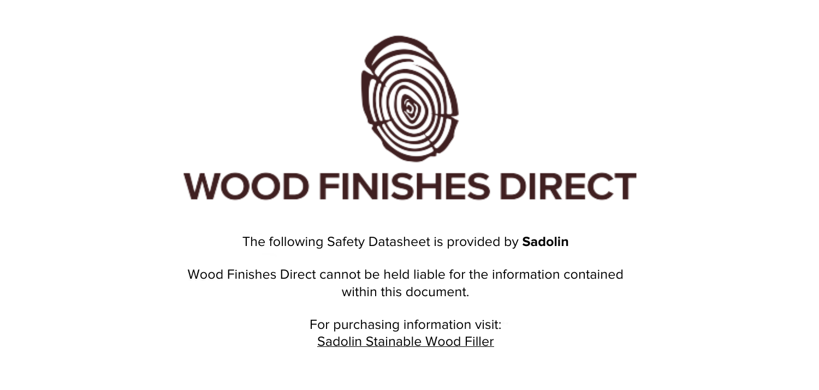

The following Safety Datasheet is provided by **Sadolin**

Wood Finishes Direct cannot be held liable for the information contained within this document

> For purchasing information visit: [Sadolin Stainable Wood Filler](https://www.wood-finishes-direct.com/product/sadolin-stainable-wood-filler)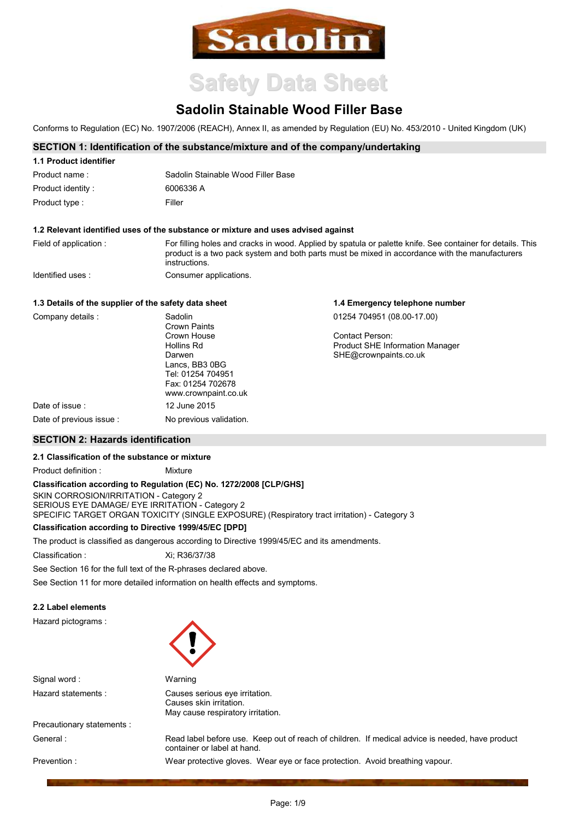

# **Safety Data Sheet**

# **Sadolin Stainable Wood Filler Base**

Conforms to Regulation (EC) No. 1907/2006 (REACH), Annex II, as amended by Regulation (EU) No. 453/2010 - United Kingdom (UK)

# SECTION 1: Identification of the substance/mixture and of the company/undertaking

| 1.1 Product identifier |                                    |
|------------------------|------------------------------------|
| Product name:          | Sadolin Stainable Wood Filler Base |
| Product identity:      | 6006336 A                          |
| Product type :         | Filler                             |

#### 1.2 Relevant identified uses of the substance or mixture and uses advised against

Field of application: For filling holes and cracks in wood. Applied by spatula or palette knife. See container for details. This product is a two pack system and both parts must be mixed in accordance with the manufacturers instructions Identified uses: Consumer applications.

1.4 Emergency telephone number

# 1.3 Details of the supplier of the safety data sheet

| Company details:        | Sadolin<br><b>Crown Paints</b>                                                             | 01254 704951 (08.00-17.00)                                |
|-------------------------|--------------------------------------------------------------------------------------------|-----------------------------------------------------------|
|                         | Crown House<br>Hollins Rd                                                                  | Contact Person:<br><b>Product SHE Information Manager</b> |
|                         | Darwen<br>Lancs, BB3 0BG<br>Tel: 01254 704951<br>Fax: 01254 702678<br>www.crownpaint.co.uk | SHE@crownpaints.co.uk                                     |
| Date of issue:          | 12 June 2015                                                                               |                                                           |
| Date of previous issue: | No previous validation.                                                                    |                                                           |

# **SECTION 2: Hazards identification**

# 2.1 Classification of the substance or mixture

Product definition : Mixture

# Classification according to Regulation (EC) No. 1272/2008 [CLP/GHS]

SKIN CORROSION/IRRITATION - Category 2 SERIOUS EYE DAMAGE/ EYE IRRITATION - Category 2 SPECIFIC TARGET ORGAN TOXICITY (SINGLE EXPOSURE) (Respiratory tract irritation) - Category 3

# **Classification according to Directive 1999/45/EC [DPD]**

The product is classified as dangerous according to Directive 1999/45/EC and its amendments.

Classification: Xi; R36/37/38

See Section 16 for the full text of the R-phrases declared above.

See Section 11 for more detailed information on health effects and symptoms.

# 2.2 Label elements

Hazard pictograms:



Causes serious eye irritation. Causes skin irritation.

May cause respiratory irritation.

Warning

Signal word: Hazard statements :

Precautionary statements : General ·

Prevention:

Read label before use. Keep out of reach of children. If medical advice is needed, have product container or label at hand.

Wear protective gloves. Wear eye or face protection. Avoid breathing vapour.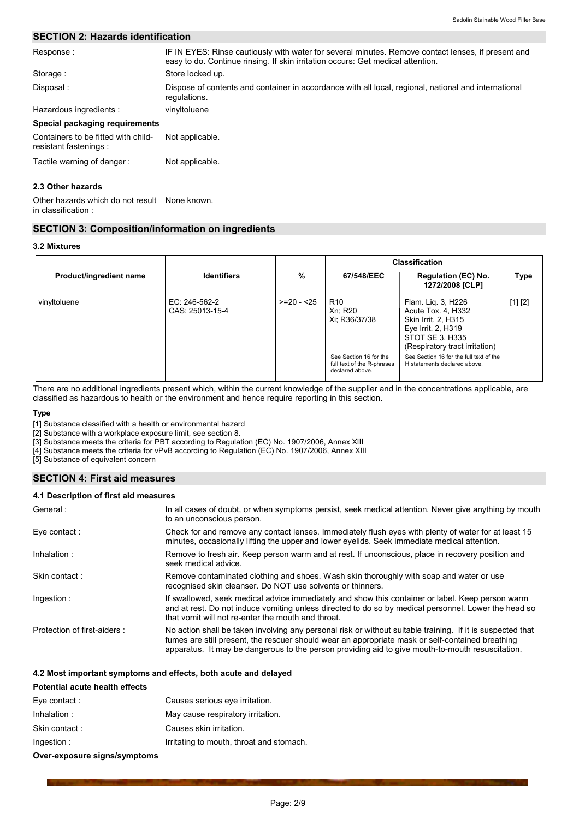# **SECTION 2: Hazards identification**

| Response:                                                     | IF IN EYES: Rinse cautiously with water for several minutes. Remove contact lenses, if present and<br>easy to do. Continue rinsing. If skin irritation occurs: Get medical attention. |
|---------------------------------------------------------------|---------------------------------------------------------------------------------------------------------------------------------------------------------------------------------------|
| Storage:                                                      | Store locked up.                                                                                                                                                                      |
| Disposal:                                                     | Dispose of contents and container in accordance with all local, regional, national and international<br>regulations.                                                                  |
| Hazardous ingredients :                                       | vinyltoluene                                                                                                                                                                          |
| Special packaging requirements                                |                                                                                                                                                                                       |
| Containers to be fitted with child-<br>resistant fastenings : | Not applicable.                                                                                                                                                                       |
| Tactile warning of danger:                                    | Not applicable.                                                                                                                                                                       |
| 2.3 Other hazards                                             |                                                                                                                                                                                       |

Other hazards which do not result None known. in classification:

# **SECTION 3: Composition/information on ingredients**

#### 3.2 Mixtures

|                         |                                  |             |                                                                         | <b>Classification</b>                                                                                                                      |         |
|-------------------------|----------------------------------|-------------|-------------------------------------------------------------------------|--------------------------------------------------------------------------------------------------------------------------------------------|---------|
| Product/ingredient name | <b>Identifiers</b>               | %           | 67/548/EEC                                                              | <b>Regulation (EC) No.</b><br>1272/2008 [CLP]                                                                                              | Type    |
| vinyltoluene            | EC: 246-562-2<br>CAS: 25013-15-4 | $>=20 - 25$ | R <sub>10</sub><br>Xn: R20<br>Xi; R36/37/38                             | Flam. Lig. 3, H226<br>Acute Tox. 4, H332<br>Skin Irrit. 2, H315<br>Eye Irrit. 2, H319<br>STOT SE 3, H335<br>(Respiratory tract irritation) | [1] [2] |
|                         |                                  |             | See Section 16 for the<br>full text of the R-phrases<br>declared above. | See Section 16 for the full text of the<br>H statements declared above.                                                                    |         |

There are no additional ingredients present which, within the current knowledge of the supplier and in the concentrations applicable, are classified as hazardous to health or the environment and hence require reporting in this section.

#### **Type**

[1] Substance classified with a health or environmental hazard

[2] Substance with a workplace exposure limit, see section 8.

[3] Substance meets the criteria for PBT according to Regulation (EC) No. 1907/2006, Annex XIII

[4] Substance meets the criteria for vPvB according to Regulation (EC) No. 1907/2006, Annex XIII

[5] Substance of equivalent concern

# **SECTION 4: First aid measures**

# 4.1 Description of first aid measures

| General:                    | In all cases of doubt, or when symptoms persist, seek medical attention. Never give anything by mouth<br>to an unconscious person.                                                                                                                                                                                 |
|-----------------------------|--------------------------------------------------------------------------------------------------------------------------------------------------------------------------------------------------------------------------------------------------------------------------------------------------------------------|
| Eye contact:                | Check for and remove any contact lenses. Immediately flush eyes with plenty of water for at least 15<br>minutes, occasionally lifting the upper and lower eyelids. Seek immediate medical attention.                                                                                                               |
| Inhalation:                 | Remove to fresh air. Keep person warm and at rest. If unconscious, place in recovery position and<br>seek medical advice.                                                                                                                                                                                          |
| Skin contact:               | Remove contaminated clothing and shoes. Wash skin thoroughly with soap and water or use<br>recognised skin cleanser. Do NOT use solvents or thinners.                                                                                                                                                              |
| Ingestion:                  | If swallowed, seek medical advice immediately and show this container or label. Keep person warm<br>and at rest. Do not induce vomiting unless directed to do so by medical personnel. Lower the head so<br>that vomit will not re-enter the mouth and throat.                                                     |
| Protection of first-aiders: | No action shall be taken involving any personal risk or without suitable training. If it is suspected that<br>fumes are still present, the rescuer should wear an appropriate mask or self-contained breathing<br>apparatus. It may be dangerous to the person providing aid to give mouth-to-mouth resuscitation. |

#### 4.2 Most important symptoms and effects, both acute and delayed

| Potential acute health effects |                                          |
|--------------------------------|------------------------------------------|
| Eye contact:                   | Causes serious eye irritation.           |
| Inhalation:                    | May cause respiratory irritation.        |
| Skin contact:                  | Causes skin irritation.                  |
| Ingestion:                     | Irritating to mouth, throat and stomach. |
| Over-exposure signs/symptoms   |                                          |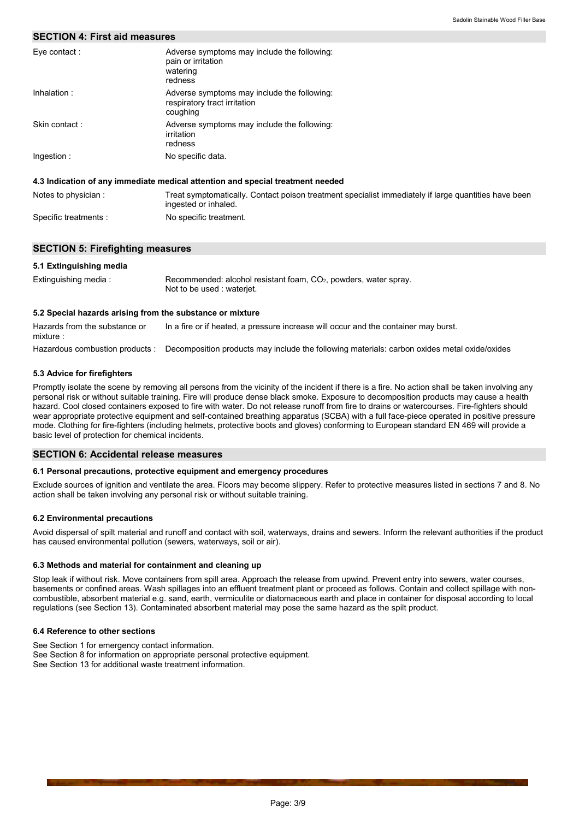# **SECTION 4: First aid measures**

| Eye contact:  | Adverse symptoms may include the following:<br>pain or irritation<br>watering<br>redness |
|---------------|------------------------------------------------------------------------------------------|
| Inhalation:   | Adverse symptoms may include the following:<br>respiratory tract irritation<br>coughing  |
| Skin contact: | Adverse symptoms may include the following:<br>irritation<br>redness                     |
| Ingestion:    | No specific data.                                                                        |

#### 4.3 Indication of any immediate medical attention and special treatment needed

| Notes to physician :  | Treat symptomatically. Contact poison treatment specialist immediately if large quantities have been<br>ingested or inhaled. |
|-----------------------|------------------------------------------------------------------------------------------------------------------------------|
| Specific treatments : | No specific treatment.                                                                                                       |

# **SECTION 5: Firefighting measures**

# 5.1 Extinguishing media

| Extinguishing media: | Recommended: alcohol resistant foam, $CO2$ , powders, water spray. |
|----------------------|--------------------------------------------------------------------|
|                      | Not to be used : wateriet.                                         |

## 5.2 Special hazards arising from the substance or mixture

Hazards from the substance or In a fire or if heated, a pressure increase will occur and the container may burst. mixture: Hazardous combustion products : Decomposition products may include the following materials: carbon oxides metal oxide/oxides

#### 5.3 Advice for firefighters

Promptly isolate the scene by removing all persons from the vicinity of the incident if there is a fire. No action shall be taken involving any personal risk or without suitable training. Fire will produce dense black smoke. Exposure to decomposition products may cause a health hazard. Cool closed containers exposed to fire with water. Do not release runoff from fire to drains or watercourses. Fire-fighters should wear appropriate protective equipment and self-contained breathing apparatus (SCBA) with a full face-piece operated in positive pressure mode. Clothing for fire-fighters (including helmets, protective boots and gloves) conforming to European standard EN 469 will provide a basic level of protection for chemical incidents.

#### **SECTION 6: Accidental release measures**

#### 6.1 Personal precautions, protective equipment and emergency procedures

Exclude sources of ignition and ventilate the area. Floors may become slippery. Refer to protective measures listed in sections 7 and 8. No action shall be taken involving any personal risk or without suitable training.

#### **6.2 Environmental precautions**

Avoid dispersal of spilt material and runoff and contact with soil, waterways, drains and sewers. Inform the relevant authorities if the product has caused environmental pollution (sewers, waterways, soil or air).

#### 6.3 Methods and material for containment and cleaning up

Stop leak if without risk. Move containers from spill area. Approach the release from upwind. Prevent entry into sewers, water courses, basements or confined areas. Wash spillages into an effluent treatment plant or proceed as follows. Contain and collect spillage with noncombustible, absorbent material e.g. sand, earth, vermiculite or diatomaceous earth and place in container for disposal according to local regulations (see Section 13). Contaminated absorbent material may pose the same hazard as the spilt product.

# 6.4 Reference to other sections

See Section 1 for emergency contact information. See Section 8 for information on appropriate personal protective equipment.

See Section 13 for additional waste treatment information.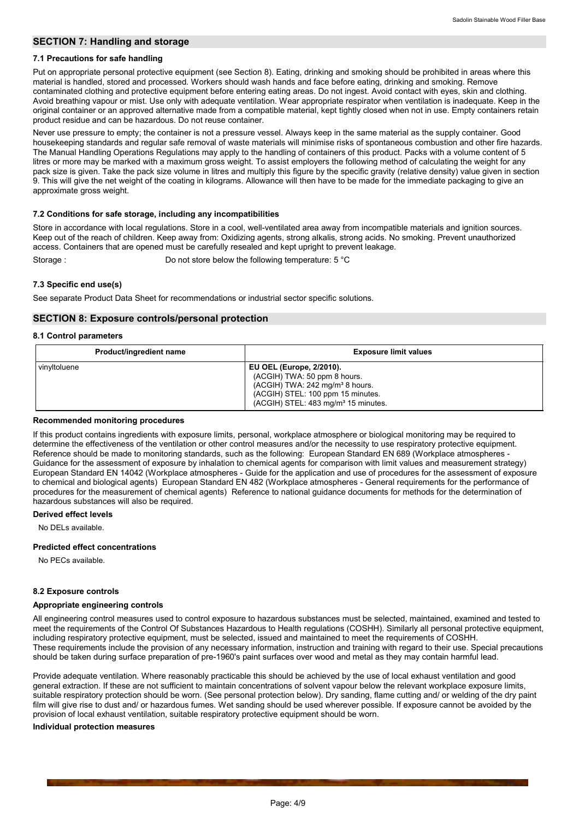# **SECTION 7: Handling and storage**

# 7.1 Precautions for safe handling

Put on appropriate personal protective equipment (see Section 8). Eating, drinking and smoking should be prohibited in areas where this material is handled, stored and processed. Workers should wash hands and face before eating, drinking and smoking. Remove contaminated clothing and protective equipment before entering eating areas. Do not ingest. Avoid contact with eyes, skin and clothing. Avoid breathing vapour or mist. Use only with adequate ventilation. Wear appropriate respirator when ventilation is inadequate. Keep in the original container or an approved alternative made from a compatible material, kept tightly closed when not in use. Empty containers retain product residue and can be hazardous. Do not reuse container.

Never use pressure to empty; the container is not a pressure vessel. Always keep in the same material as the supply container. Good housekeeping standards and regular safe removal of waste materials will minimise risks of spontaneous combustion and other fire hazards. The Manual Handling Operations Regulations may apply to the handling of containers of this product. Packs with a volume content of 5 litres or more may be marked with a maximum gross weight. To assist employers the following method of calculating the weight for any pack size is given. Take the pack size volume in litres and multiply this figure by the specific gravity (relative density) value given in section 9. This will give the net weight of the coating in kilograms. Allowance will then have to be made for the immediate packaging to give an approximate gross weight.

# 7.2 Conditions for safe storage, including any incompatibilities

Store in accordance with local regulations. Store in a cool, well-ventilated area away from incompatible materials and ignition sources. Keep out of the reach of children. Keep away from: Oxidizing agents, strong alkalis, strong acids. No smoking. Prevent unauthorized access. Containers that are opened must be carefully resealed and kept upright to prevent leakage. Storage: Do not store below the following temperature: 5 °C

# 7.3 Specific end use(s)

See separate Product Data Sheet for recommendations or industrial sector specific solutions.

# **SECTION 8: Exposure controls/personal protection**

# 8.1 Control parameters

| Product/ingredient name | <b>Exposure limit values</b>                                                                                                                                                                 |
|-------------------------|----------------------------------------------------------------------------------------------------------------------------------------------------------------------------------------------|
| vinyltoluene            | <b>EU OEL (Europe, 2/2010).</b><br>(ACGIH) TWA: 50 ppm 8 hours.<br>$(ACGIH) TWA: 242 mg/m3 8 hours.$<br>(ACGIH) STEL: 100 ppm 15 minutes.<br>(ACGIH) STEL: 483 mg/m <sup>3</sup> 15 minutes. |

### Recommended monitoring procedures

If this product contains ingredients with exposure limits, personal, workplace atmosphere or biological monitoring may be required to determine the effectiveness of the ventilation or other control measures and/or the necessity to use respiratory protective equipment. Reference should be made to monitoring standards, such as the following: European Standard EN 689 (Workplace atmospheres -Guidance for the assessment of exposure by inhalation to chemical agents for comparison with limit values and measurement strategy) European Standard EN 14042 (Workplace atmospheres - Guide for the application and use of procedures for the assessment of exposure to chemical and biological agents) European Standard EN 482 (Workplace atmospheres - General requirements for the performance of procedures for the measurement of chemical agents) Reference to national guidance documents for methods for the determination of hazardous substances will also be required.

# **Derived effect levels**

No DELs available

# **Predicted effect concentrations**

No PECs available.

#### 8.2 Exposure controls

#### Appropriate engineering controls

All engineering control measures used to control exposure to hazardous substances must be selected, maintained, examined and tested to meet the requirements of the Control Of Substances Hazardous to Health regulations (COSHH). Similarly all personal protective equipment, including respiratory protective equipment, must be selected, issued and maintained to meet the requirements of COSHH. These requirements include the provision of any necessary information, instruction and training with regard to their use. Special precautions should be taken during surface preparation of pre-1960's paint surfaces over wood and metal as they may contain harmful lead.

Provide adequate ventilation. Where reasonably practicable this should be achieved by the use of local exhaust ventilation and good general extraction. If these are not sufficient to maintain concentrations of solvent vapour below the relevant workplace exposure limits. suitable respiratory protection should be worn. (See personal protection below). Dry sanding, flame cutting and/ or welding of the dry paint film will give rise to dust and/ or hazardous fumes. Wet sanding should be used wherever possible. If exposure cannot be avoided by the provision of local exhaust ventilation, suitable respiratory protective equipment should be worn.

## Individual protection measures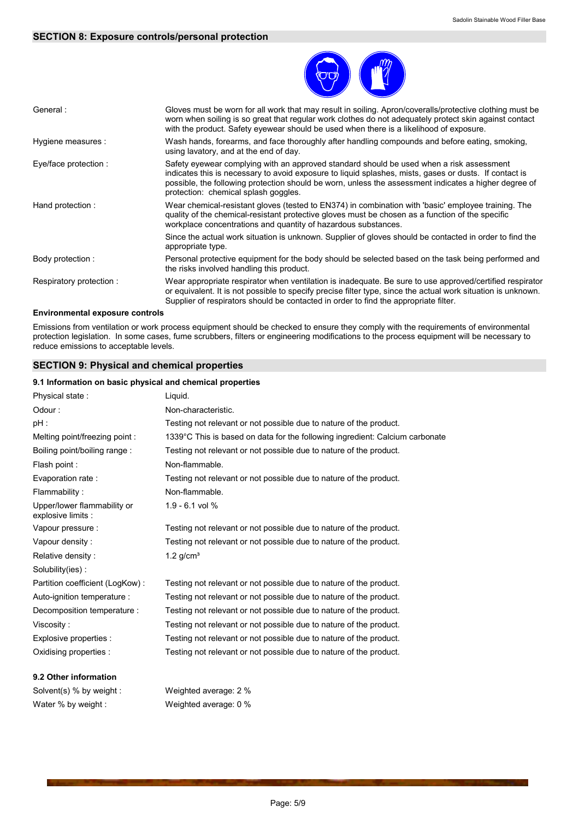# **SECTION 8: Exposure controls/personal protection**



| General:                | Gloves must be worn for all work that may result in soiling. Apron/coveralls/protective clothing must be<br>worn when soiling is so great that regular work clothes do not adequately protect skin against contact<br>with the product. Safety eyewear should be used when there is a likelihood of exposure.                                       |
|-------------------------|-----------------------------------------------------------------------------------------------------------------------------------------------------------------------------------------------------------------------------------------------------------------------------------------------------------------------------------------------------|
| Hygiene measures :      | Wash hands, forearms, and face thoroughly after handling compounds and before eating, smoking,<br>using lavatory, and at the end of day.                                                                                                                                                                                                            |
| Eye/face protection :   | Safety eyewear complying with an approved standard should be used when a risk assessment<br>indicates this is necessary to avoid exposure to liquid splashes, mists, gases or dusts. If contact is<br>possible, the following protection should be worn, unless the assessment indicates a higher degree of<br>protection: chemical splash goggles. |
| Hand protection:        | Wear chemical-resistant gloves (tested to EN374) in combination with 'basic' employee training. The<br>quality of the chemical-resistant protective gloves must be chosen as a function of the specific<br>workplace concentrations and quantity of hazardous substances.                                                                           |
|                         | Since the actual work situation is unknown. Supplier of gloves should be contacted in order to find the<br>appropriate type.                                                                                                                                                                                                                        |
| Body protection :       | Personal protective equipment for the body should be selected based on the task being performed and<br>the risks involved handling this product.                                                                                                                                                                                                    |
| Respiratory protection: | Wear appropriate respirator when ventilation is inadequate. Be sure to use approved/certified respirator<br>or equivalent. It is not possible to specify precise filter type, since the actual work situation is unknown.<br>Supplier of respirators should be contacted in order to find the appropriate filter.                                   |

# **Environmental exposure controls**

Emissions from ventilation or work process equipment should be checked to ensure they comply with the requirements of environmental protection legislation. In some cases, fume scrubbers, filters or engineering modifications to the process equipment will be necessary to reduce emissions to acceptable levels.

# **SECTION 9: Physical and chemical properties**

#### 9.1 Information on basic physical and chemical properties

| 9.2 Other information                             |                                                                              |
|---------------------------------------------------|------------------------------------------------------------------------------|
| Oxidising properties :                            | Testing not relevant or not possible due to nature of the product.           |
| Explosive properties :                            | Testing not relevant or not possible due to nature of the product.           |
| Viscosity:                                        | Testing not relevant or not possible due to nature of the product.           |
| Decomposition temperature :                       | Testing not relevant or not possible due to nature of the product.           |
| Auto-ignition temperature :                       | Testing not relevant or not possible due to nature of the product.           |
| Partition coefficient (LogKow):                   | Testing not relevant or not possible due to nature of the product.           |
| Solubility(ies):                                  |                                                                              |
| Relative density:                                 | $1.2$ g/cm <sup>3</sup>                                                      |
| Vapour density:                                   | Testing not relevant or not possible due to nature of the product.           |
| Vapour pressure :                                 | Testing not relevant or not possible due to nature of the product.           |
| Upper/lower flammability or<br>explosive limits : | $1.9 - 6.1$ vol %                                                            |
| Flammability:                                     | Non-flammable.                                                               |
| Evaporation rate:                                 | Testing not relevant or not possible due to nature of the product.           |
| Flash point :                                     | Non-flammable.                                                               |
| Boiling point/boiling range:                      | Testing not relevant or not possible due to nature of the product.           |
| Melting point/freezing point:                     | 1339°C This is based on data for the following ingredient: Calcium carbonate |
| pH :                                              | Testing not relevant or not possible due to nature of the product.           |
| Odour:                                            | Non-characteristic.                                                          |
| Physical state:                                   | Liquid.                                                                      |
|                                                   |                                                                              |

Solvent(s) % by weight : Water % by weight :

Weighted average: 2 % Weighted average: 0 %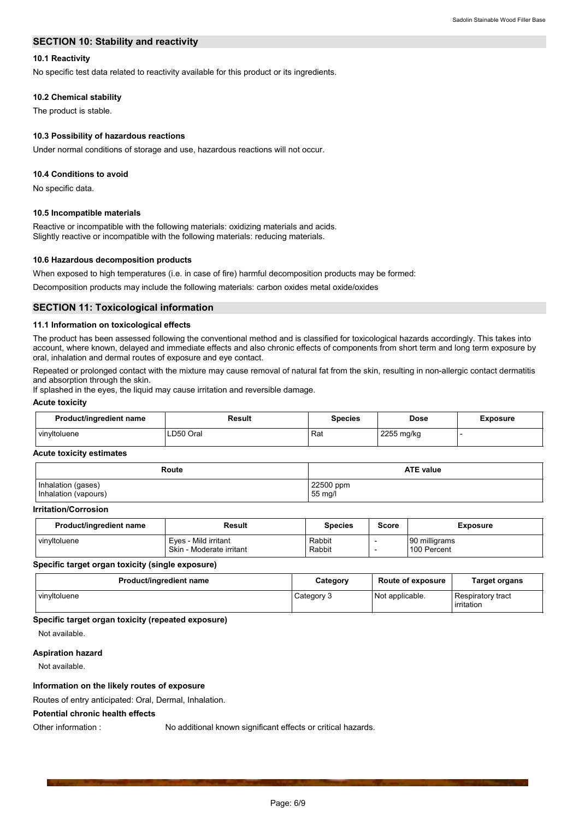# **SECTION 10: Stability and reactivity**

# 10.1 Reactivity

No specific test data related to reactivity available for this product or its ingredients.

# 10.2 Chemical stability

The product is stable.

# 10.3 Possibility of hazardous reactions

Under normal conditions of storage and use, hazardous reactions will not occur.

#### 10.4 Conditions to avoid

No specific data.

#### 10.5 Incompatible materials

Reactive or incompatible with the following materials: oxidizing materials and acids. Slightly reactive or incompatible with the following materials: reducing materials.

#### 10.6 Hazardous decomposition products

When exposed to high temperatures (i.e. in case of fire) harmful decomposition products may be formed:

Decomposition products may include the following materials: carbon oxides metal oxide/oxides

### **SECTION 11: Toxicological information**

# 11.1 Information on toxicological effects

The product has been assessed following the conventional method and is classified for toxicological hazards accordingly. This takes into account, where known, delayed and immediate effects and also chronic effects of components from short term and long term exposure by oral, inhalation and dermal routes of exposure and eve contact.

Repeated or prolonged contact with the mixture may cause removal of natural fat from the skin, resulting in non-allergic contact dermatitis and absorption through the skin.

If splashed in the eyes, the liquid may cause irritation and reversible damage.

#### **Acute toxicity**

| Product/ingredient name | Result    | <b>Species</b> | Dose       | Exposure |
|-------------------------|-----------|----------------|------------|----------|
| vinvitoluene            | LD50 Oral | Rat            | 2255 mg/kg |          |

### **Acute toxicity estimates**

| Route                | <b>ATE value</b> |
|----------------------|------------------|
| Inhalation (gases)   | 22500 ppm        |
| Inhalation (vapours) | 55 mg/l          |

# **Irritation/Corrosion**

| <b>Product/ingredient name</b> | Result                                           | <b>Species</b>   | Score | <b>Exposure</b>              |
|--------------------------------|--------------------------------------------------|------------------|-------|------------------------------|
| vinvitoluene                   | Eves - Mild irritant<br>Skin - Moderate irritant | Rabbit<br>Rabbit |       | 90 milligrams<br>100 Percent |

#### Specific target organ toxicity (single exposure)

| Product/ingredient name | Category   | <b>Route of exposure</b> | <b>Target organs</b>                   |
|-------------------------|------------|--------------------------|----------------------------------------|
| vinvitoluene            | Category 3 | Not applicable.          | <b>Respiratory tract</b><br>irritation |

#### Specific target organ toxicity (repeated exposure)

Not available.

#### **Aspiration hazard**

Other information:

Not available.

# Information on the likely routes of exposure

Routes of entry anticipated: Oral, Dermal, Inhalation.

# **Potential chronic health effects**

No additional known significant effects or critical hazards.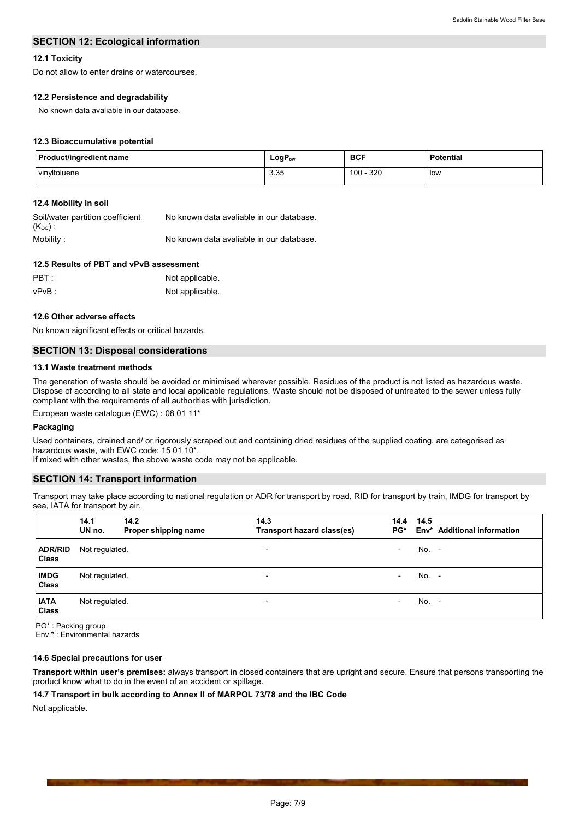# **SECTION 12: Ecological information**

# 12.1 Toxicity

Do not allow to enter drains or watercourses.

# 12.2 Persistence and degradability

No known data avaliable in our database.

### 12.3 Bioaccumulative potential

| Product/ingredient name | $LogP_{ow}$  | <b>BCF</b> | <b>Potential</b> |
|-------------------------|--------------|------------|------------------|
| vinyltoluene            | 3.35<br>ບ.ບບ | 320<br>100 | low              |

# 12.4 Mobility in soil

| Soil/water partition coefficient | No known data avaliable in our database. |
|----------------------------------|------------------------------------------|
| (K <sub>oc</sub> ) :             |                                          |
| Mobility :                       | No known data avaliable in our database. |

| 12.5 Results of PBT and vPvB assessment |                 |  |  |
|-----------------------------------------|-----------------|--|--|
| PBT :                                   | Not applicable. |  |  |
| vPvB :                                  | Not applicable. |  |  |

#### 12.6 Other adverse effects

No known significant effects or critical hazards.

# **SECTION 13: Disposal considerations**

#### 13.1 Waste treatment methods

The generation of waste should be avoided or minimised wherever possible. Residues of the product is not listed as hazardous waste. Dispose of according to all state and local applicable regulations. Waste should not be disposed of untreated to the sewer unless fully compliant with the requirements of all authorities with jurisdiction.

European waste catalogue (EWC) : 08 01 11\*

#### Packaging

Used containers, drained and/ or rigorously scraped out and containing dried residues of the supplied coating, are categorised as hazardous waste, with EWC code: 15 01 10\*.

If mixed with other wastes, the above waste code may not be applicable.

# **SECTION 14: Transport information**

Transport may take place according to national regulation or ADR for transport by road, RID for transport by train, IMDG for transport by sea, IATA for transport by air.

|                                | 14.1<br>UN no. | 14.2<br>Proper shipping name | 14.3<br>Transport hazard class(es) | 14.4<br>$PG^*$           | 14.5    | Env* Additional information |
|--------------------------------|----------------|------------------------------|------------------------------------|--------------------------|---------|-----------------------------|
| <b>ADR/RID</b><br><b>Class</b> | Not regulated. |                              | $\overline{\phantom{0}}$           | $\overline{\phantom{a}}$ | No. -   |                             |
| <b>IMDG</b><br><b>Class</b>    | Not regulated. |                              | $\overline{\phantom{a}}$           | $\overline{\phantom{0}}$ | $No. -$ |                             |
| <b>IATA</b><br><b>Class</b>    | Not regulated. |                              | $\overline{\phantom{0}}$           | $\overline{\phantom{a}}$ | $No. -$ |                             |

PG\*: Packing group Env.\*: Environmental hazards

#### 14.6 Special precautions for user

Transport within user's premises: always transport in closed containers that are upright and secure. Ensure that persons transporting the product know what to do in the event of an accident or spillage.

# 14.7 Transport in bulk according to Annex II of MARPOL 73/78 and the IBC Code

Not applicable.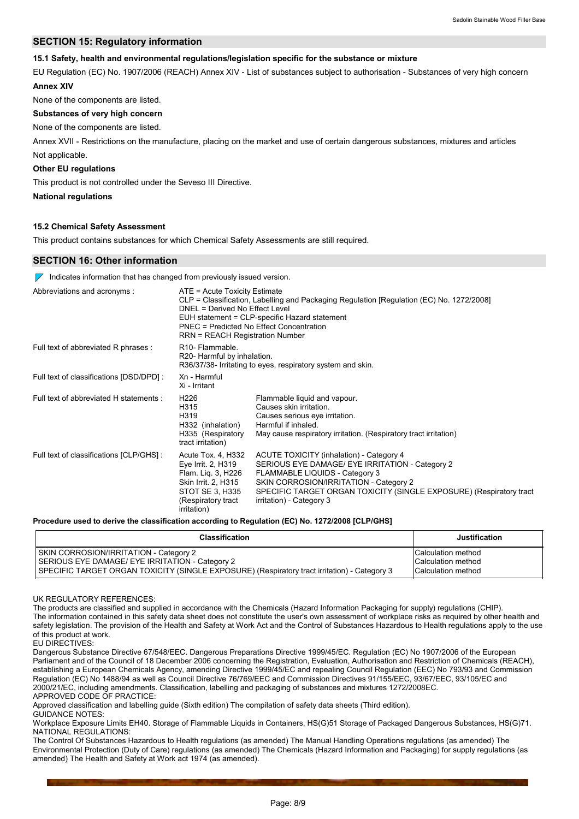# **SECTION 15: Regulatory information**

# 15.1 Safety, health and environmental regulations/legislation specific for the substance or mixture

EU Regulation (EC) No. 1907/2006 (REACH) Annex XIV - List of substances subject to authorisation - Substances of very high concern **Annex XIV** 

None of the components are listed.

# Substances of very high concern

# None of the components are listed.

Annex XVII - Restrictions on the manufacture, placing on the market and use of certain dangerous substances, mixtures and articles Not applicable.

# **Other EU regulations**

This product is not controlled under the Seveso III Directive.

**National regulations** 

# 15.2 Chemical Safety Assessment

This product contains substances for which Chemical Safety Assessments are still required.

# **SECTION 16: Other information**

 $\nabla$  Indicates information that has changed from previously issued version.

| Abbreviations and acronyms:              | ATE = Acute Toxicity Estimate<br>CLP = Classification, Labelling and Packaging Regulation [Regulation (EC) No. 1272/2008]<br>DNEL = Derived No Effect Level<br>EUH statement = CLP-specific Hazard statement<br><b>PNEC = Predicted No Effect Concentration</b><br>RRN = REACH Registration Number |                                                                                                                                                                                                                                                                            |  |
|------------------------------------------|----------------------------------------------------------------------------------------------------------------------------------------------------------------------------------------------------------------------------------------------------------------------------------------------------|----------------------------------------------------------------------------------------------------------------------------------------------------------------------------------------------------------------------------------------------------------------------------|--|
| Full text of abbreviated R phrases :     | R <sub>10</sub> - Flammable.<br>R20- Harmful by inhalation.                                                                                                                                                                                                                                        | R36/37/38- Irritating to eyes, respiratory system and skin.                                                                                                                                                                                                                |  |
| Full text of classifications [DSD/DPD] : | Xn - Harmful<br>Xi - Irritant                                                                                                                                                                                                                                                                      |                                                                                                                                                                                                                                                                            |  |
| Full text of abbreviated H statements :  | H <sub>226</sub><br>H315<br>H319<br>H332 (inhalation)<br>H335 (Respiratory<br>tract irritation)                                                                                                                                                                                                    | Flammable liquid and vapour.<br>Causes skin irritation.<br>Causes serious eye irritation.<br>Harmful if inhaled.<br>May cause respiratory irritation. (Respiratory tract irritation)                                                                                       |  |
| Full text of classifications [CLP/GHS] : | Acute Tox. 4, H332<br>Eye Irrit. 2, H319<br>Flam. Lig. 3, H226<br>Skin Irrit. 2, H315<br>STOT SE 3, H335<br>(Respiratory tract<br><i>irritation</i> )                                                                                                                                              | ACUTE TOXICITY (inhalation) - Category 4<br>SERIOUS EYE DAMAGE/ EYE IRRITATION - Category 2<br>FLAMMABLE LIQUIDS - Category 3<br>SKIN CORROSION/IRRITATION - Category 2<br>SPECIFIC TARGET ORGAN TOXICITY (SINGLE EXPOSURE) (Respiratory tract<br>irritation) - Category 3 |  |

Procedure used to derive the classification according to Regulation (EC) No. 1272/2008 [CLP/GHS]

| <b>Classification</b>                                                                        | <b>Justification</b> |
|----------------------------------------------------------------------------------------------|----------------------|
| SKIN CORROSION/IRRITATION - Category 2                                                       | Calculation method   |
| SERIOUS EYE DAMAGE/ EYE IRRITATION - Category 2                                              | Calculation method   |
| SPECIFIC TARGET ORGAN TOXICITY (SINGLE EXPOSURE) (Respiratory tract irritation) - Category 3 | Calculation method   |

UK REGULATORY REFERENCES:

The products are classified and supplied in accordance with the Chemicals (Hazard Information Packaging for supply) regulations (CHIP). The information contained in this safety data sheet does not constitute the user's own assessment of workplace risks as required by other health and safety legislation. The provision of the Health and Safety at Work Act and the Control of Substances Hazardous to Health regulations apply to the use of this product at work. EU DIRECTIVES:

Dangerous Substance Directive 67/548/EEC. Dangerous Preparations Directive 1999/45/EC. Regulation (EC) No 1907/2006 of the European Parliament and of the Council of 18 December 2006 concerning the Registration, Evaluation, Authorisation and Restriction of Chemicals (REACH), establishing a European Chemicals Agency, amending Directive 1999/45/EC and repealing Council Regulation (EEC) No 793/93 and Commission Regulation (EC) No 1488/94 as well as Council Directive 76/769/EEC and Commission Directives 91/155/EEC, 93/67/EEC, 93/105/EC and 2000/21/EC, including amendments. Classification, labelling and packaging of substances and mixtures 1272/2008EC. APPROVED CODE OF PRACTICE:

Approved classification and labelling guide (Sixth edition) The compilation of safety data sheets (Third edition).

**GUIDANCE NOTES:** Workplace Exposure Limits EH40. Storage of Flammable Liquids in Containers, HS(G)51 Storage of Packaged Dangerous Substances, HS(G)71. NATIONAL REGULATIONS

The Control Of Substances Hazardous to Health regulations (as amended) The Manual Handling Operations regulations (as amended) The Environmental Protection (Duty of Care) regulations (as amended) The Chemicals (Hazard Information and Packaging) for supply regulations (as amended) The Health and Safety at Work act 1974 (as amended).